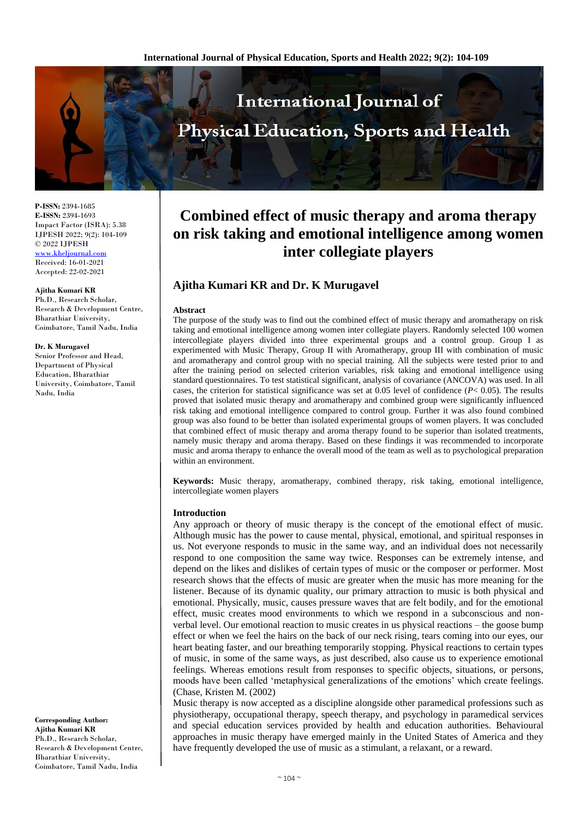

**P-ISSN:** 2394-1685 **E-ISSN:** 2394-1693 Impact Factor (ISRA): 5.38 IJPESH 2022; 9(2): 104-109 © 2022 IJPESH [www.kheljournal.com](http://www.kheljournal.com/)

Received: 16-01-2021 Accepted: 22-02-2021

#### **Ajitha Kumari KR**

Ph.D., Research Scholar, Research & Development Centre, Bharathiar University, Coimbatore, Tamil Nadu, India

#### **Dr. K Murugavel**

Senior Professor and Head, Department of Physical Education, Bharathiar University, Coimbatore, Tamil Nadu, India

#### **Corresponding Author: Ajitha Kumari KR**  Ph.D., Research Scholar, Research & Development Centre, Bharathiar University, Coimbatore, Tamil Nadu, India

# **Combined effect of music therapy and aroma therapy on risk taking and emotional intelligence among women inter collegiate players**

## **Ajitha Kumari KR and Dr. K Murugavel**

#### **Abstract**

The purpose of the study was to find out the combined effect of music therapy and aromatherapy on risk taking and emotional intelligence among women inter collegiate players. Randomly selected 100 women intercollegiate players divided into three experimental groups and a control group. Group I as experimented with Music Therapy, Group II with Aromatherapy, group III with combination of music and aromatherapy and control group with no special training. All the subjects were tested prior to and after the training period on selected criterion variables, risk taking and emotional intelligence using standard questionnaires. To test statistical significant, analysis of covariance (ANCOVA) was used. In all cases, the criterion for statistical significance was set at 0.05 level of confidence (*P*< 0.05). The results proved that isolated music therapy and aromatherapy and combined group were significantly influenced risk taking and emotional intelligence compared to control group. Further it was also found combined group was also found to be better than isolated experimental groups of women players. It was concluded that combined effect of music therapy and aroma therapy found to be superior than isolated treatments, namely music therapy and aroma therapy. Based on these findings it was recommended to incorporate music and aroma therapy to enhance the overall mood of the team as well as to psychological preparation within an environment.

**Keywords:** Music therapy, aromatherapy, combined therapy, risk taking, emotional intelligence, intercollegiate women players

## **Introduction**

Any approach or theory of music therapy is the concept of the emotional effect of music. Although music has the power to cause mental, physical, emotional, and spiritual responses in us. Not everyone responds to music in the same way, and an individual does not necessarily respond to one composition the same way twice. Responses can be extremely intense, and depend on the likes and dislikes of certain types of music or the composer or performer. Most research shows that the effects of music are greater when the music has more meaning for the listener. Because of its dynamic quality, our primary attraction to music is both physical and emotional. Physically, music, causes pressure waves that are felt bodily, and for the emotional effect, music creates mood environments to which we respond in a subconscious and nonverbal level. Our emotional reaction to music creates in us physical reactions – the goose bump effect or when we feel the hairs on the back of our neck rising, tears coming into our eyes, our heart beating faster, and our breathing temporarily stopping. Physical reactions to certain types of music, in some of the same ways, as just described, also cause us to experience emotional feelings. Whereas emotions result from responses to specific objects, situations, or persons, moods have been called 'metaphysical generalizations of the emotions' which create feelings. (Chase, Kristen M. (2002)

Music therapy is now accepted as a discipline alongside other paramedical professions such as physiotherapy, occupational therapy, speech therapy, and psychology in paramedical services and special education services provided by health and education authorities. Behavioural approaches in music therapy have emerged mainly in the United States of America and they have frequently developed the use of music as a stimulant, a relaxant, or a reward.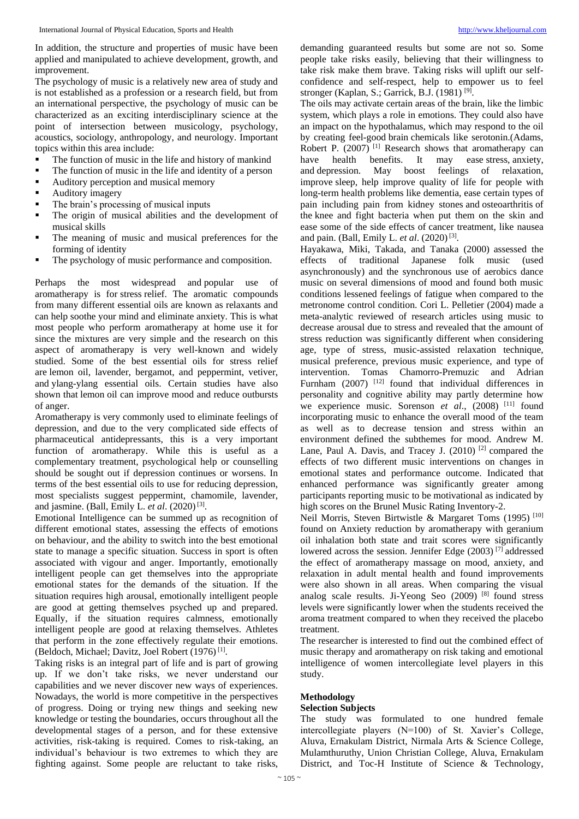In addition, the structure and properties of music have been applied and manipulated to achieve development, growth, and improvement.

The psychology of music is a relatively new area of study and is not established as a profession or a research field, but from an international perspective, the psychology of music can be characterized as an exciting interdisciplinary science at the point of intersection between musicology, psychology, acoustics, sociology, anthropology, and neurology. Important topics within this area include:

- $\blacksquare$  The function of music in the life and history of mankind
- The function of music in the life and identity of a person
- Auditory perception and musical memory
- Auditory imagery
- The brain's processing of musical inputs
- The origin of musical abilities and the development of musical skills
- The meaning of music and musical preferences for the forming of identity
- The psychology of music performance and composition.

Perhaps the most widespread and popular use of aromatherapy is for stress relief. The aromatic compounds from many different essential oils are known as relaxants and can help soothe your mind and eliminate anxiety. This is what most people who perform aromatherapy at home use it for since the mixtures are very simple and the research on this aspect of aromatherapy is very well-known and widely studied. Some of the best essential oils for stress relief are lemon oil, lavender, bergamot, and peppermint, vetiver, and ylang-ylang essential oils. Certain studies have also shown that lemon oil can improve mood and reduce outbursts of anger.

Aromatherapy is very commonly used to eliminate feelings of depression, and due to the very complicated side effects of pharmaceutical antidepressants, this is a very important function of aromatherapy. While this is useful as a complementary treatment, psychological help or counselling should be sought out if depression continues or worsens. In terms of the best essential oils to use for reducing depression, most specialists suggest peppermint, chamomile, lavender, and jasmine. (Ball, Emily L. et al. (2020)<sup>[3]</sup>.

Emotional Intelligence can be summed up as recognition of different emotional states, assessing the effects of emotions on behaviour, and the ability to switch into the best emotional state to manage a specific situation. Success in sport is often associated with vigour and anger. Importantly, emotionally intelligent people can get themselves into the appropriate emotional states for the demands of the situation. If the situation requires high arousal, emotionally intelligent people are good at getting themselves psyched up and prepared. Equally, if the situation requires calmness, emotionally intelligent people are good at relaxing themselves. Athletes that perform in the zone effectively regulate their emotions. (Beldoch, Michael; Davitz, Joel Robert (1976)<sup>[1]</sup>.

Taking risks is an integral part of life and is part of growing up. If we don't take risks, we never understand our capabilities and we never discover new ways of experiences. Nowadays, the world is more competitive in the perspectives of progress. Doing or trying new things and seeking new knowledge or testing the boundaries, occurs throughout all the developmental stages of a person, and for these extensive activities, risk-taking is required. Comes to risk-taking, an individual's behaviour is two extremes to which they are fighting against. Some people are reluctant to take risks,

demanding guaranteed results but some are not so. Some people take risks easily, believing that their willingness to take risk make them brave. Taking risks will uplift our selfconfidence and self-respect, help to empower us to feel stronger (Kaplan, S.; Garrick, B.J. (1981)<sup>[9]</sup>.

The oils may activate certain areas of the brain, like the limbic system, which plays a role in emotions. They could also have an impact on the hypothalamus, which may respond to the oil by creating feel-good brain chemicals like serotonin.(Adams, Robert P.  $(2007)$ <sup>[1]</sup> Research shows that aromatherapy can have health benefits. It may ease stress, anxiety, have health benefits. It may and depression. May boost feelings of relaxation, improve sleep, help improve quality of life for people with long-term health problems like dementia, ease certain types of pain including pain from kidney stones and osteoarthritis of the knee and fight bacteria when put them on the skin and ease some of the side effects of cancer treatment, like nausea and pain. (Ball, Emily L. et al. (2020)<sup>[3]</sup>.

Hayakawa, Miki, Takada, and Tanaka (2000) assessed the effects of traditional Japanese folk music (used asynchronously) and the synchronous use of aerobics dance music on several dimensions of mood and found both music conditions lessened feelings of fatigue when compared to the metronome control condition. Cori L. Pelletier (2004) made a meta-analytic reviewed of research articles using music to decrease arousal due to stress and revealed that the amount of stress reduction was significantly different when considering age, type of stress, music-assisted relaxation technique, musical preference, previous music experience, and type of intervention. Tomas Chamorro-Premuzic and Adrian Furnham (2007) <sup>[12]</sup> found that individual differences in personality and cognitive ability may partly determine how we experience music. Sorenson et al., (2008) <sup>[11]</sup> found incorporating music to enhance the overall mood of the team as well as to decrease tension and stress within an environment defined the subthemes for mood. Andrew M. Lane, Paul A. Davis, and Tracey J.  $(2010)$  <sup>[2]</sup> compared the effects of two different music interventions on changes in emotional states and performance outcome. Indicated that enhanced performance was significantly greater among participants reporting music to be motivational as indicated by high scores on the Brunel Music Rating Inventory-2.

Neil Morris, Steven Birtwistle & Margaret Toms (1995) [10] found on Anxiety reduction by aromatherapy with geranium oil inhalation both state and trait scores were significantly lowered across the session. Jennifer Edge  $(2003)$ <sup>[7]</sup> addressed the effect of aromatherapy massage on mood, anxiety, and relaxation in adult mental health and found improvements were also shown in all areas. When comparing the visual analog scale results. Ji-Yeong Seo (2009) [8] found stress levels were significantly lower when the students received the aroma treatment compared to when they received the placebo treatment.

The researcher is interested to find out the combined effect of music therapy and aromatherapy on risk taking and emotional intelligence of women intercollegiate level players in this study.

## **Methodology**

## **Selection Subjects**

The study was formulated to one hundred female intercollegiate players (N=100) of St. Xavier's College, Aluva, Ernakulam District, Nirmala Arts & Science College, Mulamthuruthy, Union Christian College, Aluva, Ernakulam District, and Toc-H Institute of Science & Technology,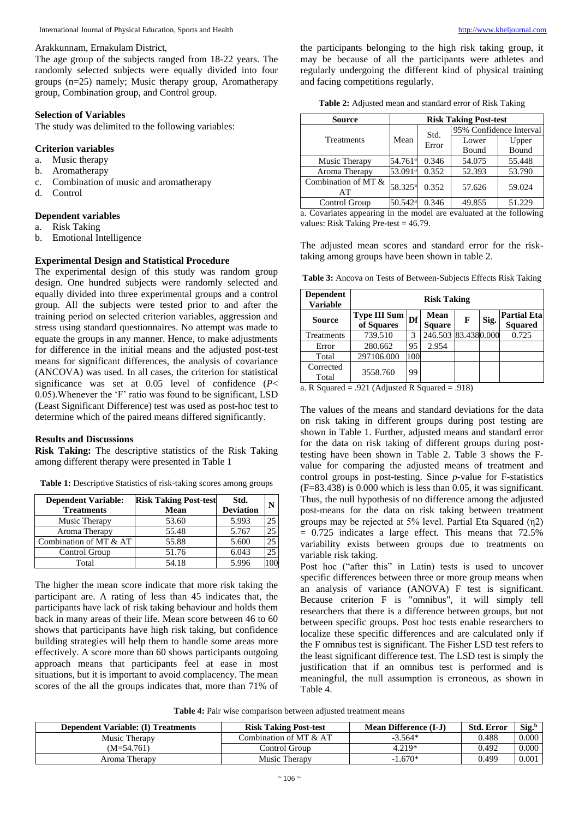#### Arakkunnam, Ernakulam District,

The age group of the subjects ranged from 18-22 years. The randomly selected subjects were equally divided into four groups (n=25) namely; Music therapy group, Aromatherapy group, Combination group, and Control group.

## **Selection of Variables**

The study was delimited to the following variables:

#### **Criterion variables**

- a. Music therapy
- b. Aromatherapy
- c. Combination of music and aromatherapy
- d. Control

## **Dependent variables**

- a. Risk Taking
- b. Emotional Intelligence

## **Experimental Design and Statistical Procedure**

The experimental design of this study was random group design. One hundred subjects were randomly selected and equally divided into three experimental groups and a control group. All the subjects were tested prior to and after the training period on selected criterion variables, aggression and stress using standard questionnaires. No attempt was made to equate the groups in any manner. Hence, to make adjustments for difference in the initial means and the adjusted post-test means for significant differences, the analysis of covariance (ANCOVA) was used. In all cases, the criterion for statistical significance was set at 0.05 level of confidence (*P*< 0.05).Whenever the 'F' ratio was found to be significant, LSD (Least Significant Difference) test was used as post-hoc test to determine which of the paired means differed significantly.

#### **Results and Discussions**

**Risk Taking:** The descriptive statistics of the Risk Taking among different therapy were presented in Table 1

**Table 1:** Descriptive Statistics of risk-taking scores among groups

| <b>Dependent Variable:</b> | <b>Risk Taking Post-test</b> | Std.             | N  |
|----------------------------|------------------------------|------------------|----|
| <b>Treatments</b>          | Mean                         | <b>Deviation</b> |    |
| Music Therapy              | 53.60                        | 5.993            | 25 |
| Aroma Therapy              | 55.48                        | 5.767            | 25 |
| Combination of MT & AT     | 55.88                        | 5.600            | 25 |
| Control Group              | 51.76                        | 6.043            | 25 |
| Total                      | 54.18                        | 5.996            |    |

The higher the mean score indicate that more risk taking the participant are. A rating of less than 45 indicates that, the participants have lack of risk taking behaviour and holds them back in many areas of their life. Mean score between 46 to 60 shows that participants have high risk taking, but confidence building strategies will help them to handle some areas more effectively. A score more than 60 shows participants outgoing approach means that participants feel at ease in most situations, but it is important to avoid complacency. The mean scores of the all the groups indicates that, more than 71% of

the participants belonging to the high risk taking group, it may be because of all the participants were athletes and regularly undergoing the different kind of physical training and facing competitions regularly.

**Table 2:** Adjusted mean and standard error of Risk Taking

| <b>Source</b>             | <b>Risk Taking Post-test</b> |       |                         |        |  |  |
|---------------------------|------------------------------|-------|-------------------------|--------|--|--|
|                           |                              | Std.  | 95% Confidence Interval |        |  |  |
| Treatments                | Mean                         | Error | Lower                   | Upper  |  |  |
|                           |                              |       | Bound                   | Bound  |  |  |
| Music Therapy             | 54.761 <sup>a</sup>          | 0.346 | 54.075                  | 55.448 |  |  |
| Aroma Therapy             | 53.091 <sup>a</sup>          | 0.352 | 52.393                  | 53.790 |  |  |
| Combination of MT &<br>AT | 58.325 <sup>a</sup>          | 0.352 | 57.626                  | 59.024 |  |  |
| Control Group             | 50.542 <sup>a</sup>          | 0.346 | 49.855                  | 51.229 |  |  |

a. Covariates appearing in the model are evaluated at the following values: Risk Taking Pre-test = 46.79.

The adjusted mean scores and standard error for the risktaking among groups have been shown in table 2.

**Table 3:** Ancova on Tests of Between-Subjects Effects Risk Taking

| <b>Dependent</b><br><b>Variable</b> | <b>Risk Taking</b>                |     |                              |   |      |                                      |  |  |  |
|-------------------------------------|-----------------------------------|-----|------------------------------|---|------|--------------------------------------|--|--|--|
| <b>Source</b>                       | <b>Type III Sum</b><br>of Squares | Df  | <b>Mean</b><br><b>Square</b> | F | Sig. | <b>Partial Eta</b><br><b>Squared</b> |  |  |  |
| Treatments                          | 739.510                           | 3   | 246.503 83.4380.000          |   |      | 0.725                                |  |  |  |
| Error                               | 280.662                           | 95  | 2.954                        |   |      |                                      |  |  |  |
| Total                               | 297106.000                        | 100 |                              |   |      |                                      |  |  |  |
| Corrected<br>Total                  | 3558.760                          | 99  |                              |   |      |                                      |  |  |  |

a. R Squared = .921 (Adjusted R Squared = .918)

The values of the means and standard deviations for the data on risk taking in different groups during post testing are shown in Table 1. Further, adjusted means and standard error for the data on risk taking of different groups during posttesting have been shown in Table 2. Table 3 shows the Fvalue for comparing the adjusted means of treatment and control groups in post-testing. Since *p*-value for F-statistics (F=83.438) is 0.000 which is less than 0.05, it was significant. Thus, the null hypothesis of no difference among the adjusted post-means for the data on risk taking between treatment groups may be rejected at 5% level. Partial Eta Squared (η2)  $= 0.725$  indicates a large effect. This means that 72.5% variability exists between groups due to treatments on variable risk taking.

Post hoc ("after this" in Latin) tests is used to uncover specific differences between three or more group means when an analysis of variance (ANOVA) F test is significant. Because criterion F is "omnibus", it will simply tell researchers that there is a difference between groups, but not between specific groups. Post hoc tests enable researchers to localize these specific differences and are calculated only if the F omnibus test is significant. The Fisher LSD test refers to the least significant difference test. The LSD test is simply the justification that if an omnibus test is performed and is meaningful, the null assumption is erroneous, as shown in Table 4.

**Table 4:** Pair wise comparison between adjusted treatment means

| <b>Dependent Variable: (I) Treatments</b> | <b>Risk Taking Post-test</b> | Mean Difference (I-J) | <b>Std. Error</b> | $\text{Sig.}^{\text{b}}$ |
|-------------------------------------------|------------------------------|-----------------------|-------------------|--------------------------|
| Music Therapy                             | Combination of MT & AT       | $-3.564*$             | 0.488             | 0.000                    |
| (M=54.761)                                | Control Group                | 4.219*                | 0.492             | 0.000                    |
| Aroma Therapy                             | Music Therapy                | $-1.670*$             | 0.499             | 0.001                    |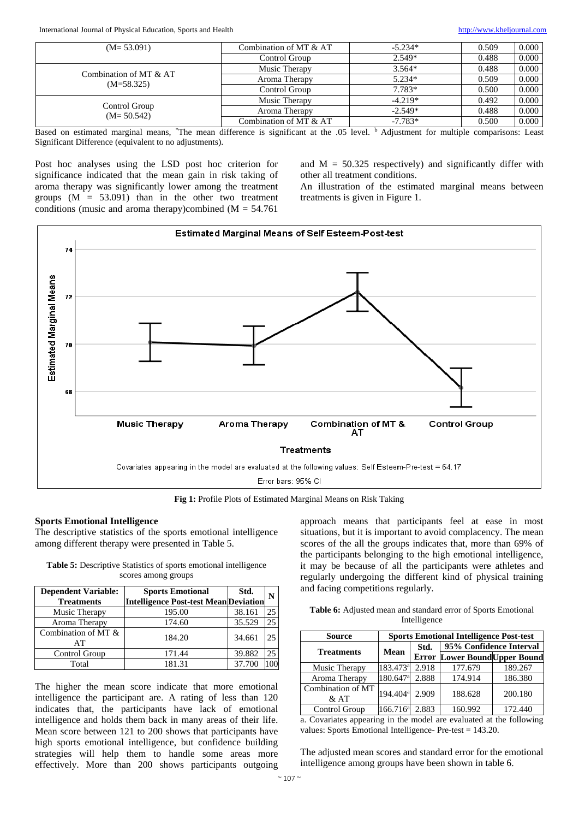International Journal of Physical Education, Sports and Health [http://www.kheljournal.com](http://www.kheljournal.com/) http://www.kheljournal.com

| $(M=53.091)$                    | Combination of MT & AT | $-5.234*$ | 0.509 | 0.000 |
|---------------------------------|------------------------|-----------|-------|-------|
|                                 | Control Group          | $2.549*$  | 0.488 | 0.000 |
| Combination of MT & AT          | Music Therapy          | $3.564*$  | 0.488 | 0.000 |
| $(M=58.325)$                    | Aroma Therapy          | $5.234*$  | 0.509 | 0.000 |
|                                 | Control Group          | $7.783*$  | 0.500 | 0.000 |
|                                 | Music Therapy          | $-4.219*$ | 0.492 | 0.000 |
| Control Group<br>$(M = 50.542)$ | Aroma Therapy          | $-2.549*$ | 0.488 | 0.000 |
|                                 | Combination of MT & AT | $-7.783*$ | 0.500 | 0.000 |

Based on estimated marginal means, \*The mean difference is significant at the .05 level. <sup>b</sup> Adjustment for multiple comparisons: Least Significant Difference (equivalent to no adjustments).

Post hoc analyses using the LSD post hoc criterion for significance indicated that the mean gain in risk taking of aroma therapy was significantly lower among the treatment groups  $(M = 53.091)$  than in the other two treatment conditions (music and aroma therapy)combined ( $M = 54.761$ 

and  $M = 50.325$  respectively) and significantly differ with other all treatment conditions.

An illustration of the estimated marginal means between treatments is given in Figure 1.



**Fig 1:** Profile Plots of Estimated Marginal Means on Risk Taking

#### **Sports Emotional Intelligence**

The descriptive statistics of the sports emotional intelligence among different therapy were presented in Table 5.

**Table 5:** Descriptive Statistics of sports emotional intelligence scores among groups

| <b>Dependent Variable:</b><br><b>Treatments</b> | <b>Sports Emotional</b><br><b>Intelligence Post-test Mean Deviation</b> | Std.   | N  |
|-------------------------------------------------|-------------------------------------------------------------------------|--------|----|
| Music Therapy                                   | 195.00                                                                  | 38.161 | 25 |
| Aroma Therapy                                   | 174.60                                                                  | 35.529 | 25 |
| Combination of MT &<br>AT                       | 184.20                                                                  | 34.661 | 25 |
| Control Group                                   | 171.44                                                                  | 39.882 | 25 |
| Total                                           | 181.31                                                                  | 37.700 |    |

The higher the mean score indicate that more emotional intelligence the participant are. A rating of less than 120 indicates that, the participants have lack of emotional intelligence and holds them back in many areas of their life. Mean score between 121 to 200 shows that participants have high sports emotional intelligence, but confidence building strategies will help them to handle some areas more effectively. More than 200 shows participants outgoing

approach means that participants feel at ease in most situations, but it is important to avoid complacency. The mean scores of the all the groups indicates that, more than 69% of the participants belonging to the high emotional intelligence, it may be because of all the participants were athletes and regularly undergoing the different kind of physical training and facing competitions regularly.

**Table 6:** Adjusted mean and standard error of Sports Emotional Intelligence

| <b>Source</b>               | <b>Sports Emotional Intelligence Post-test</b> |       |                                      |                         |  |  |  |
|-----------------------------|------------------------------------------------|-------|--------------------------------------|-------------------------|--|--|--|
| <b>Treatments</b>           | <b>Mean</b>                                    | Std.  |                                      | 95% Confidence Interval |  |  |  |
|                             |                                                |       | <b>Error Lower Bound Upper Bound</b> |                         |  |  |  |
| Music Therapy               | 183.473 <sup>a</sup>                           | 2.918 | 177.679                              | 189.267                 |  |  |  |
| Aroma Therapy               | 180.647 <sup>a</sup>                           | 2.888 | 174.914                              | 186.380                 |  |  |  |
| Combination of MT<br>$&$ AT | 194.404 <sup>a</sup>                           | 2.909 | 188.628                              | 200.180                 |  |  |  |
| Control Group               | 166.716 <sup>a</sup>                           | 2.883 | 160.992                              | 172.440                 |  |  |  |

a. Covariates appearing in the model are evaluated at the following values: Sports Emotional Intelligence- Pre-test = 143.20.

The adjusted mean scores and standard error for the emotional intelligence among groups have been shown in table 6.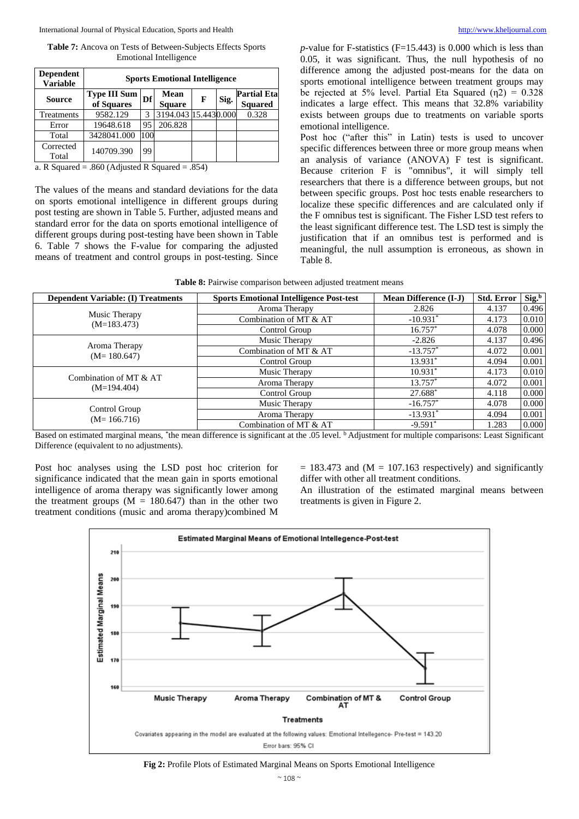#### International Journal of Physical Education, Sports and Health [http://www.kheljournal.com](http://www.kheljournal.com/)

**Table 7:** Ancova on Tests of Between-Subjects Effects Sports Emotional Intelligence

| <b>Dependent</b><br><b>Variable</b> | <b>Sports Emotional Intelligence</b> |     |                       |   |      |                                      |  |  |  |
|-------------------------------------|--------------------------------------|-----|-----------------------|---|------|--------------------------------------|--|--|--|
| <b>Source</b>                       | Type III Sum<br>of Squares           | Df  | Mean<br><b>Square</b> | F | Sig. | <b>Partial Eta</b><br><b>Squared</b> |  |  |  |
| Treatments                          | 9582.129                             | 3   | 3194.043 15.4430.000  |   |      | 0.328                                |  |  |  |
| Error                               | 19648.618                            | 95  | 206.828               |   |      |                                      |  |  |  |
| Total                               | 3428041.000                          | 100 |                       |   |      |                                      |  |  |  |
| Corrected<br>Total                  | 140709.390                           | 99  |                       |   |      |                                      |  |  |  |

a. R Squared = .860 (Adjusted R Squared = .854)

The values of the means and standard deviations for the data on sports emotional intelligence in different groups during post testing are shown in Table 5. Further, adjusted means and standard error for the data on sports emotional intelligence of different groups during post-testing have been shown in Table 6. Table 7 shows the F-value for comparing the adjusted means of treatment and control groups in post-testing. Since  $p$ -value for F-statistics (F=15.443) is 0.000 which is less than 0.05, it was significant. Thus, the null hypothesis of no difference among the adjusted post-means for the data on sports emotional intelligence between treatment groups may be rejected at 5% level. Partial Eta Squared  $(\eta_2) = 0.328$ indicates a large effect. This means that 32.8% variability exists between groups due to treatments on variable sports emotional intelligence.

Post hoc ("after this" in Latin) tests is used to uncover specific differences between three or more group means when an analysis of variance (ANOVA) F test is significant. Because criterion F is "omnibus", it will simply tell researchers that there is a difference between groups, but not between specific groups. Post hoc tests enable researchers to localize these specific differences and are calculated only if the F omnibus test is significant. The Fisher LSD test refers to the least significant difference test. The LSD test is simply the justification that if an omnibus test is performed and is meaningful, the null assumption is erroneous, as shown in Table 8.

|  |  |  |  |  |  | <b>Table 8:</b> Pairwise comparison between adjusted treatment means |  |
|--|--|--|--|--|--|----------------------------------------------------------------------|--|
|  |  |  |  |  |  |                                                                      |  |

| <b>Dependent Variable: (I) Treatments</b> | <b>Sports Emotional Intelligence Post-test</b> | <b>Mean Difference (I-J)</b> | Std. Error | Sig. <sup>b</sup> |
|-------------------------------------------|------------------------------------------------|------------------------------|------------|-------------------|
|                                           | Aroma Therapy                                  | 2.826                        | 4.137      | 0.496             |
| Music Therapy<br>$(M=183.473)$            | Combination of MT & AT                         | $-10.931*$                   | 4.173      | 0.010             |
|                                           | Control Group                                  | $16.757*$                    | 4.078      | 0.000             |
|                                           | Music Therapy                                  | $-2.826$                     | 4.137      | 0.496             |
| Aroma Therapy<br>$(M=180.647)$            | Combination of MT & AT                         | $-13.757*$                   | 4.072      | 0.001             |
|                                           | Control Group                                  | 13.931*                      | 4.094      | 0.001             |
| Combination of MT & AT                    | Music Therapy                                  | $10.931*$                    | 4.173      | 0.010             |
| $(M=194.404)$                             | Aroma Therapy                                  | 13.757*                      | 4.072      | 0.001             |
|                                           | Control Group                                  | 27.688*                      | 4.118      | 0.000             |
|                                           | Music Therapy                                  | $-16.757*$                   | 4.078      | 0.000             |
| Control Group<br>$(M=166.716)$            | Aroma Therapy                                  | $-13.931*$                   | 4.094      | 0.001             |
|                                           | Combination of MT & AT                         | $-9.591*$                    | 1.283      | 0.000             |

Based on estimated marginal means, \*the mean difference is significant at the .05 level. <sup>b</sup> Adjustment for multiple comparisons: Least Significant Difference (equivalent to no adjustments).

Post hoc analyses using the LSD post hoc criterion for significance indicated that the mean gain in sports emotional intelligence of aroma therapy was significantly lower among the treatment groups  $(M = 180.647)$  than in the other two treatment conditions (music and aroma therapy)combined M  $= 183.473$  and (M  $= 107.163$  respectively) and significantly differ with other all treatment conditions.

An illustration of the estimated marginal means between treatments is given in Figure 2.



**Fig 2:** Profile Plots of Estimated Marginal Means on Sports Emotional Intelligence